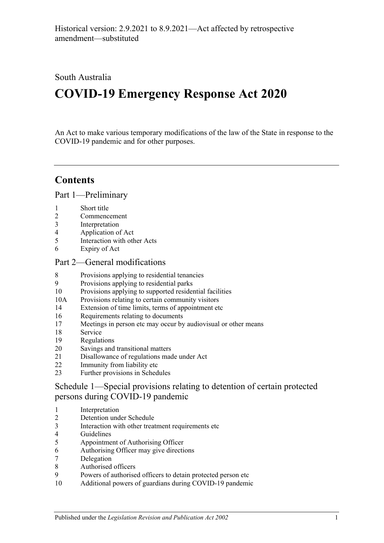## South Australia

# **COVID-19 Emergency Response Act 2020**

An Act to make various temporary modifications of the law of the State in response to the COVID-19 pandemic and for other purposes.

## **Contents**

Part [1—Preliminary](#page-2-0)

- [Short title](#page-2-1)
- [Commencement](#page-2-2)
- [Interpretation](#page-2-3)
- [Application of Act](#page-2-4)
- [Interaction with other Acts](#page-2-5)
- [Expiry of Act](#page-2-6)

#### Part [2—General modifications](#page-3-0)

- [Provisions applying to residential tenancies](#page-3-1)
- [Provisions applying to residential parks](#page-6-0)
- [Provisions applying to supported residential facilities](#page-6-1)
- 10A [Provisions relating to certain community visitors](#page-8-0)
- [Extension of time limits, terms of appointment etc](#page-9-0)
- [Requirements relating to documents](#page-10-0)
- [Meetings in person etc may occur by audiovisual or other means](#page-10-1)
- [Service](#page-11-0)
- [Regulations](#page-11-1)
- [Savings and transitional matters](#page-12-0)
- [Disallowance of regulations made under Act](#page-13-0)
- [Immunity from liability etc](#page-13-1)
- [Further provisions in Schedules](#page-14-0)

Schedule [1—Special provisions relating to detention of certain protected](#page-14-1)  [persons during COVID-19 pandemic](#page-14-1)

- [Interpretation](#page-14-2)
- [Detention under Schedule](#page-15-0)
- [Interaction with other treatment requirements etc](#page-15-1)
- [Guidelines](#page-15-2)
- [Appointment of Authorising](#page-15-3) Officer
- [Authorising Officer may give directions](#page-16-0)
- [Delegation](#page-17-0)
- [Authorised officers](#page-17-1)
- [Powers of authorised officers to detain protected person etc](#page-17-2)
- [Additional powers of guardians during COVID-19 pandemic](#page-18-0)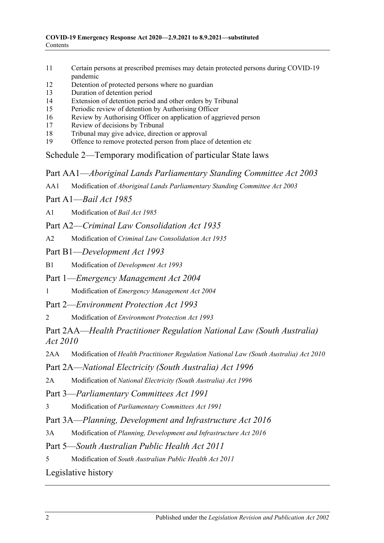- 11 [Certain persons at prescribed premises may detain protected persons during COVID-19](#page-19-0)  [pandemic](#page-19-0)
- 12 [Detention of protected persons where no guardian](#page-19-1)
- 13 [Duration of detention period](#page-20-0)
- 14 [Extension of detention period and other orders by Tribunal](#page-20-1)
- 15 [Periodic review of detention by Authorising Officer](#page-21-0)
- 16 [Review by Authorising Officer on application of aggrieved person](#page-21-1)
- 17 [Review of decisions by Tribunal](#page-21-2)
- 18 [Tribunal may give advice, direction or approval](#page-22-0)
- 19 [Offence to remove protected person from place of detention etc](#page-22-1)

Schedule [2—Temporary modification of particular State laws](#page-22-2)

Part AA1—*Aboriginal Lands Parliamentary Standing Committee Act 2003*

AA1 Modification of *[Aboriginal Lands Parliamentary Standing Committee Act](#page-22-3) 2003*

Part A1—*Bail Act 1985*

A1 [Modification of](#page-23-0) *Bail Act 1985*

Part A2—*Criminal Law Consolidation Act 1935*

- A2 Modification of *[Criminal Law Consolidation Act](#page-24-0) 1935*
- Part B1—*Development Act 1993*

B1 Modification of *[Development Act](#page-24-1) 1993*

Part 1—*Emergency Management Act 2004*

1 Modification of *[Emergency Management Act](#page-24-2) 2004*

Part 2—*Environment Protection Act 1993*

2 Modification of *[Environment Protection Act](#page-27-0) 1993*

Part 2AA—*Health Practitioner Regulation National Law (South Australia) Act 2010*

2AA Modification of *[Health Practitioner Regulation National Law \(South Australia\) Act](#page-27-1) 2010*

Part 2A—*National Electricity (South Australia) Act 1996*

2A Modification of *[National Electricity \(South Australia\) Act](#page-28-0) 1996*

Part 3—*Parliamentary Committees Act 1991*

3 Modification of *[Parliamentary Committees Act](#page-28-1) 1991*

Part 3A—*Planning, Development and Infrastructure Act 2016*

3A Modification of *[Planning, Development and Infrastructure Act](#page-30-0) 2016*

Part 5—*South Australian Public Health Act 2011*

5 Modification of *[South Australian Public Health Act](#page-30-1) 2011*

[Legislative history](#page-32-0)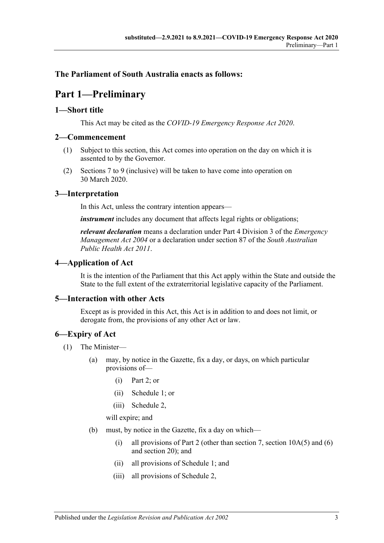#### <span id="page-2-0"></span>**The Parliament of South Australia enacts as follows:**

## **Part 1—Preliminary**

#### <span id="page-2-1"></span>**1—Short title**

This Act may be cited as the *COVID-19 Emergency Response Act 2020*.

#### <span id="page-2-2"></span>**2—Commencement**

- (1) Subject to this section, this Act comes into operation on the day on which it is assented to by the Governor.
- (2) Sections 7 to 9 (inclusive) will be taken to have come into operation on 30 March 2020.

#### <span id="page-2-3"></span>**3—Interpretation**

In this Act, unless the contrary intention appears—

*instrument* includes any document that affects legal rights or obligations;

*relevant declaration* means a declaration under Part 4 Division 3 of the *[Emergency](http://www.legislation.sa.gov.au/index.aspx?action=legref&type=act&legtitle=Emergency%20Management%20Act%202004)  [Management Act](http://www.legislation.sa.gov.au/index.aspx?action=legref&type=act&legtitle=Emergency%20Management%20Act%202004) 2004* or a declaration under section 87 of the *[South Australian](http://www.legislation.sa.gov.au/index.aspx?action=legref&type=act&legtitle=South%20Australian%20Public%20Health%20Act%202011)  [Public Health Act](http://www.legislation.sa.gov.au/index.aspx?action=legref&type=act&legtitle=South%20Australian%20Public%20Health%20Act%202011) 2011*.

#### <span id="page-2-4"></span>**4—Application of Act**

It is the intention of the Parliament that this Act apply within the State and outside the State to the full extent of the extraterritorial legislative capacity of the Parliament.

#### <span id="page-2-5"></span>**5—Interaction with other Acts**

Except as is provided in this Act, this Act is in addition to and does not limit, or derogate from, the provisions of any other Act or law.

#### <span id="page-2-6"></span>**6—Expiry of Act**

- (1) The Minister—
	- (a) may, by notice in the Gazette, fix a day, or days, on which particular provisions of—
		- (i) [Part](#page-3-0) 2; or
		- (ii) [Schedule](#page-14-1) 1; or
		- (iii) [Schedule](#page-22-2) 2,

will expire; and

- <span id="page-2-7"></span>(b) must, by notice in the Gazette, fix a day on which—
	- (i) all provisions of [Part](#page-3-0) 2 (other than [section](#page-9-1) 7, section  $10A(5)$  and [\(6\)](#page-9-2) and [section](#page-12-0) 20); and
	- (ii) all provisions of [Schedule](#page-14-1) 1; and
	- (iii) all provisions of [Schedule](#page-22-2) 2,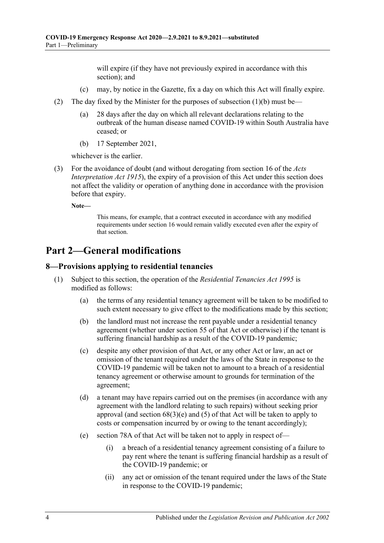will expire (if they have not previously expired in accordance with this section); and

- (c) may, by notice in the Gazette, fix a day on which this Act will finally expire.
- (2) The day fixed by the Minister for the purposes of [subsection](#page-2-7) (1)(b) must be—
	- (a) 28 days after the day on which all relevant declarations relating to the outbreak of the human disease named COVID-19 within South Australia have ceased; or
	- (b) 17 September 2021,

whichever is the earlier.

(3) For the avoidance of doubt (and without derogating from section 16 of the *[Acts](http://www.legislation.sa.gov.au/index.aspx?action=legref&type=act&legtitle=Acts%20Interpretation%20Act%201915)  [Interpretation Act](http://www.legislation.sa.gov.au/index.aspx?action=legref&type=act&legtitle=Acts%20Interpretation%20Act%201915) 1915*), the expiry of a provision of this Act under this section does not affect the validity or operation of anything done in accordance with the provision before that expiry.

**Note—**

This means, for example, that a contract executed in accordance with any modified requirements under [section](#page-10-0) 16 would remain validly executed even after the expiry of that section.

## <span id="page-3-0"></span>**Part 2—General modifications**

#### <span id="page-3-1"></span>**8—Provisions applying to residential tenancies**

- (1) Subject to this section, the operation of the *[Residential Tenancies Act](http://www.legislation.sa.gov.au/index.aspx?action=legref&type=act&legtitle=Residential%20Tenancies%20Act%201995) 1995* is modified as follows:
	- (a) the terms of any residential tenancy agreement will be taken to be modified to such extent necessary to give effect to the modifications made by this section;
	- (b) the landlord must not increase the rent payable under a residential tenancy agreement (whether under section 55 of that Act or otherwise) if the tenant is suffering financial hardship as a result of the COVID-19 pandemic;
	- (c) despite any other provision of that Act, or any other Act or law, an act or omission of the tenant required under the laws of the State in response to the COVID-19 pandemic will be taken not to amount to a breach of a residential tenancy agreement or otherwise amount to grounds for termination of the agreement;
	- (d) a tenant may have repairs carried out on the premises (in accordance with any agreement with the landlord relating to such repairs) without seeking prior approval (and section 68(3)(e) and (5) of that Act will be taken to apply to costs or compensation incurred by or owing to the tenant accordingly);
	- (e) section 78A of that Act will be taken not to apply in respect of—
		- (i) a breach of a residential tenancy agreement consisting of a failure to pay rent where the tenant is suffering financial hardship as a result of the COVID-19 pandemic; or
		- (ii) any act or omission of the tenant required under the laws of the State in response to the COVID-19 pandemic;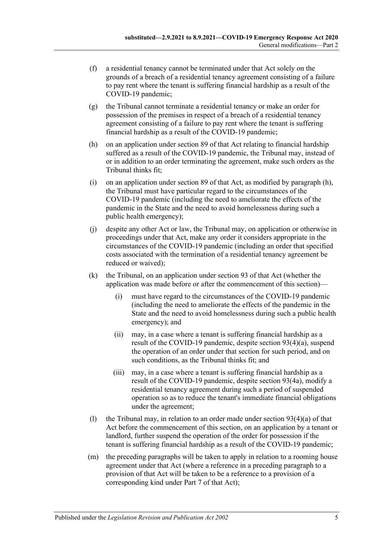- (f) a residential tenancy cannot be terminated under that Act solely on the grounds of a breach of a residential tenancy agreement consisting of a failure to pay rent where the tenant is suffering financial hardship as a result of the COVID-19 pandemic;
- (g) the Tribunal cannot terminate a residential tenancy or make an order for possession of the premises in respect of a breach of a residential tenancy agreement consisting of a failure to pay rent where the tenant is suffering financial hardship as a result of the COVID-19 pandemic;
- <span id="page-4-0"></span>(h) on an application under section 89 of that Act relating to financial hardship suffered as a result of the COVID-19 pandemic, the Tribunal may, instead of or in addition to an order terminating the agreement, make such orders as the Tribunal thinks fit;
- (i) on an application under section 89 of that Act, as modified by [paragraph](#page-4-0) (h), the Tribunal must have particular regard to the circumstances of the COVID-19 pandemic (including the need to ameliorate the effects of the pandemic in the State and the need to avoid homelessness during such a public health emergency);
- (j) despite any other Act or law, the Tribunal may, on application or otherwise in proceedings under that Act, make any order it considers appropriate in the circumstances of the COVID-19 pandemic (including an order that specified costs associated with the termination of a residential tenancy agreement be reduced or waived);
- (k) the Tribunal, on an application under section 93 of that Act (whether the application was made before or after the commencement of this section)—
	- (i) must have regard to the circumstances of the COVID-19 pandemic (including the need to ameliorate the effects of the pandemic in the State and the need to avoid homelessness during such a public health emergency); and
	- (ii) may, in a case where a tenant is suffering financial hardship as a result of the COVID-19 pandemic, despite section 93(4)(a), suspend the operation of an order under that section for such period, and on such conditions, as the Tribunal thinks fit; and
	- (iii) may, in a case where a tenant is suffering financial hardship as a result of the COVID-19 pandemic, despite section 93(4a), modify a residential tenancy agreement during such a period of suspended operation so as to reduce the tenant's immediate financial obligations under the agreement;
- (1) the Tribunal may, in relation to an order made under section  $93(4)(a)$  of that Act before the commencement of this section, on an application by a tenant or landlord, further suspend the operation of the order for possession if the tenant is suffering financial hardship as a result of the COVID-19 pandemic;
- (m) the preceding paragraphs will be taken to apply in relation to a rooming house agreement under that Act (where a reference in a preceding paragraph to a provision of that Act will be taken to be a reference to a provision of a corresponding kind under Part 7 of that Act);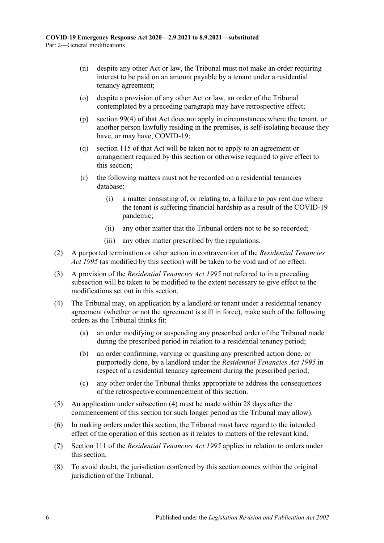- (n) despite any other Act or law, the Tribunal must not make an order requiring interest to be paid on an amount payable by a tenant under a residential tenancy agreement;
- (o) despite a provision of any other Act or law, an order of the Tribunal contemplated by a preceding paragraph may have retrospective effect;
- (p) section 99(4) of that Act does not apply in circumstances where the tenant, or another person lawfully residing in the premises, is self-isolating because they have, or may have, COVID-19;
- (q) section 115 of that Act will be taken not to apply to an agreement or arrangement required by this section or otherwise required to give effect to this section;
- (r) the following matters must not be recorded on a residential tenancies database:
	- (i) a matter consisting of, or relating to, a failure to pay rent due where the tenant is suffering financial hardship as a result of the COVID-19 pandemic;
	- (ii) any other matter that the Tribunal orders not to be so recorded;
	- (iii) any other matter prescribed by the regulations.
- (2) A purported termination or other action in contravention of the *[Residential Tenancies](http://www.legislation.sa.gov.au/index.aspx?action=legref&type=act&legtitle=Residential%20Tenancies%20Act%201995)  Act [1995](http://www.legislation.sa.gov.au/index.aspx?action=legref&type=act&legtitle=Residential%20Tenancies%20Act%201995)* (as modified by this section) will be taken to be void and of no effect.
- (3) A provision of the *[Residential Tenancies Act](http://www.legislation.sa.gov.au/index.aspx?action=legref&type=act&legtitle=Residential%20Tenancies%20Act%201995) 1995* not referred to in a preceding subsection will be taken to be modified to the extent necessary to give effect to the modifications set out in this section.
- <span id="page-5-0"></span>(4) The Tribunal may, on application by a landlord or tenant under a residential tenancy agreement (whether or not the agreement is still in force), make such of the following orders as the Tribunal thinks fit:
	- (a) an order modifying or suspending any prescribed order of the Tribunal made during the prescribed period in relation to a residential tenancy period;
	- (b) an order confirming, varying or quashing any prescribed action done, or purportedly done, by a landlord under the *[Residential Tenancies Act](http://www.legislation.sa.gov.au/index.aspx?action=legref&type=act&legtitle=Residential%20Tenancies%20Act%201995) 1995* in respect of a residential tenancy agreement during the prescribed period;
	- (c) any other order the Tribunal thinks appropriate to address the consequences of the retrospective commencement of this section.
- (5) An application under [subsection](#page-5-0) (4) must be made within 28 days after the commencement of this section (or such longer period as the Tribunal may allow).
- (6) In making orders under this section, the Tribunal must have regard to the intended effect of the operation of this section as it relates to matters of the relevant kind.
- (7) Section 111 of the *[Residential Tenancies Act](http://www.legislation.sa.gov.au/index.aspx?action=legref&type=act&legtitle=Residential%20Tenancies%20Act%201995) 1995* applies in relation to orders under this section.
- (8) To avoid doubt, the jurisdiction conferred by this section comes within the original jurisdiction of the Tribunal.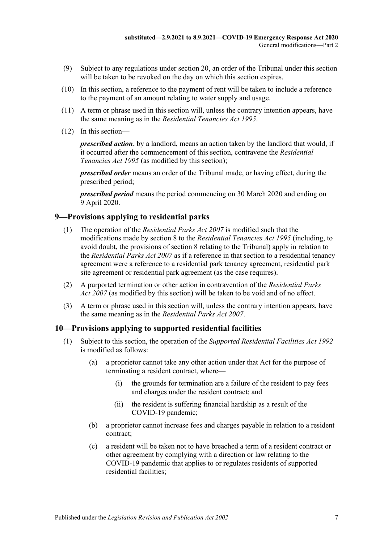- (9) Subject to any regulations under [section](#page-12-0) 20, an order of the Tribunal under this section will be taken to be revoked on the day on which this section expires.
- (10) In this section, a reference to the payment of rent will be taken to include a reference to the payment of an amount relating to water supply and usage.
- (11) A term or phrase used in this section will, unless the contrary intention appears, have the same meaning as in the *[Residential Tenancies Act](http://www.legislation.sa.gov.au/index.aspx?action=legref&type=act&legtitle=Residential%20Tenancies%20Act%201995) 1995*.
- (12) In this section—

*prescribed action*, by a landlord, means an action taken by the landlord that would, if it occurred after the commencement of this section, contravene the *[Residential](http://www.legislation.sa.gov.au/index.aspx?action=legref&type=act&legtitle=Residential%20Tenancies%20Act%201995)  [Tenancies Act](http://www.legislation.sa.gov.au/index.aspx?action=legref&type=act&legtitle=Residential%20Tenancies%20Act%201995) 1995* (as modified by this section);

*prescribed order* means an order of the Tribunal made, or having effect, during the prescribed period;

*prescribed period* means the period commencing on 30 March 2020 and ending on 9 April 2020.

#### <span id="page-6-0"></span>**9—Provisions applying to residential parks**

- (1) The operation of the *[Residential Parks Act](http://www.legislation.sa.gov.au/index.aspx?action=legref&type=act&legtitle=Residential%20Parks%20Act%202007) 2007* is modified such that the modifications made by [section](#page-3-1) 8 to the *[Residential Tenancies Act](http://www.legislation.sa.gov.au/index.aspx?action=legref&type=act&legtitle=Residential%20Tenancies%20Act%201995) 1995* (including, to avoid doubt, the provisions of [section](#page-3-1) 8 relating to the Tribunal) apply in relation to the *[Residential Parks Act](http://www.legislation.sa.gov.au/index.aspx?action=legref&type=act&legtitle=Residential%20Parks%20Act%202007) 2007* as if a reference in that section to a residential tenancy agreement were a reference to a residential park tenancy agreement, residential park site agreement or residential park agreement (as the case requires).
- (2) A purported termination or other action in contravention of the *[Residential Parks](http://www.legislation.sa.gov.au/index.aspx?action=legref&type=act&legtitle=Residential%20Parks%20Act%202007)  Act [2007](http://www.legislation.sa.gov.au/index.aspx?action=legref&type=act&legtitle=Residential%20Parks%20Act%202007)* (as modified by this section) will be taken to be void and of no effect.
- (3) A term or phrase used in this section will, unless the contrary intention appears, have the same meaning as in the *[Residential Parks Act](http://www.legislation.sa.gov.au/index.aspx?action=legref&type=act&legtitle=Residential%20Parks%20Act%202007) 2007*.

#### <span id="page-6-1"></span>**10—Provisions applying to supported residential facilities**

- (1) Subject to this section, the operation of the *[Supported Residential Facilities Act](http://www.legislation.sa.gov.au/index.aspx?action=legref&type=act&legtitle=Supported%20Residential%20Facilities%20Act%201992) 1992* is modified as follows:
	- (a) a proprietor cannot take any other action under that Act for the purpose of terminating a resident contract, where—
		- (i) the grounds for termination are a failure of the resident to pay fees and charges under the resident contract; and
		- (ii) the resident is suffering financial hardship as a result of the COVID-19 pandemic;
	- (b) a proprietor cannot increase fees and charges payable in relation to a resident contract;
	- (c) a resident will be taken not to have breached a term of a resident contract or other agreement by complying with a direction or law relating to the COVID-19 pandemic that applies to or regulates residents of supported residential facilities;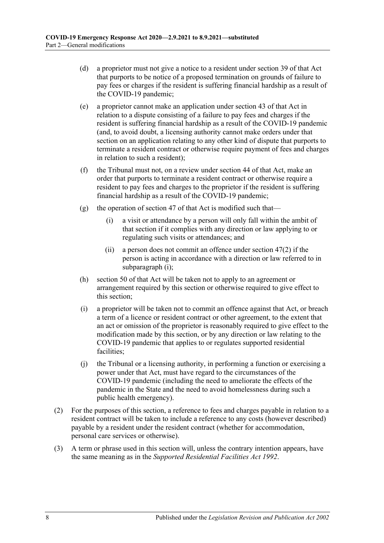- (d) a proprietor must not give a notice to a resident under section 39 of that Act that purports to be notice of a proposed termination on grounds of failure to pay fees or charges if the resident is suffering financial hardship as a result of the COVID-19 pandemic;
- (e) a proprietor cannot make an application under section 43 of that Act in relation to a dispute consisting of a failure to pay fees and charges if the resident is suffering financial hardship as a result of the COVID-19 pandemic (and, to avoid doubt, a licensing authority cannot make orders under that section on an application relating to any other kind of dispute that purports to terminate a resident contract or otherwise require payment of fees and charges in relation to such a resident);
- (f) the Tribunal must not, on a review under section 44 of that Act, make an order that purports to terminate a resident contract or otherwise require a resident to pay fees and charges to the proprietor if the resident is suffering financial hardship as a result of the COVID-19 pandemic;
- <span id="page-7-0"></span>(g) the operation of section 47 of that Act is modified such that—
	- (i) a visit or attendance by a person will only fall within the ambit of that section if it complies with any direction or law applying to or regulating such visits or attendances; and
	- (ii) a person does not commit an offence under section 47(2) if the person is acting in accordance with a direction or law referred to in [subparagraph](#page-7-0) (i);
- (h) section 50 of that Act will be taken not to apply to an agreement or arrangement required by this section or otherwise required to give effect to this section;
- (i) a proprietor will be taken not to commit an offence against that Act, or breach a term of a licence or resident contract or other agreement, to the extent that an act or omission of the proprietor is reasonably required to give effect to the modification made by this section, or by any direction or law relating to the COVID-19 pandemic that applies to or regulates supported residential facilities;
- (j) the Tribunal or a licensing authority, in performing a function or exercising a power under that Act, must have regard to the circumstances of the COVID-19 pandemic (including the need to ameliorate the effects of the pandemic in the State and the need to avoid homelessness during such a public health emergency).
- (2) For the purposes of this section, a reference to fees and charges payable in relation to a resident contract will be taken to include a reference to any costs (however described) payable by a resident under the resident contract (whether for accommodation, personal care services or otherwise).
- (3) A term or phrase used in this section will, unless the contrary intention appears, have the same meaning as in the *[Supported Residential Facilities Act](http://www.legislation.sa.gov.au/index.aspx?action=legref&type=act&legtitle=Supported%20Residential%20Facilities%20Act%201992) 1992*.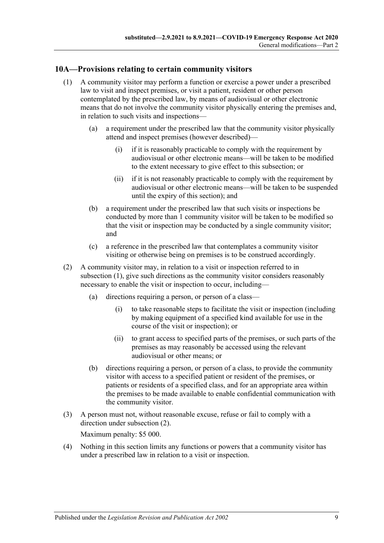#### <span id="page-8-1"></span><span id="page-8-0"></span>**10A—Provisions relating to certain community visitors**

- (1) A community visitor may perform a function or exercise a power under a prescribed law to visit and inspect premises, or visit a patient, resident or other person contemplated by the prescribed law, by means of audiovisual or other electronic means that do not involve the community visitor physically entering the premises and, in relation to such visits and inspections—
	- (a) a requirement under the prescribed law that the community visitor physically attend and inspect premises (however described)—
		- (i) if it is reasonably practicable to comply with the requirement by audiovisual or other electronic means—will be taken to be modified to the extent necessary to give effect to this subsection; or
		- (ii) if it is not reasonably practicable to comply with the requirement by audiovisual or other electronic means—will be taken to be suspended until the expiry of this section); and
	- (b) a requirement under the prescribed law that such visits or inspections be conducted by more than 1 community visitor will be taken to be modified so that the visit or inspection may be conducted by a single community visitor; and
	- (c) a reference in the prescribed law that contemplates a community visitor visiting or otherwise being on premises is to be construed accordingly.
- <span id="page-8-2"></span>(2) A community visitor may, in relation to a visit or inspection referred to in [subsection](#page-8-1) (1), give such directions as the community visitor considers reasonably necessary to enable the visit or inspection to occur, including—
	- (a) directions requiring a person, or person of a class—
		- (i) to take reasonable steps to facilitate the visit or inspection (including by making equipment of a specified kind available for use in the course of the visit or inspection); or
		- (ii) to grant access to specified parts of the premises, or such parts of the premises as may reasonably be accessed using the relevant audiovisual or other means; or
	- (b) directions requiring a person, or person of a class, to provide the community visitor with access to a specified patient or resident of the premises, or patients or residents of a specified class, and for an appropriate area within the premises to be made available to enable confidential communication with the community visitor.
- (3) A person must not, without reasonable excuse, refuse or fail to comply with a direction under [subsection](#page-8-2) (2).

Maximum penalty: \$5 000.

(4) Nothing in this section limits any functions or powers that a community visitor has under a prescribed law in relation to a visit or inspection.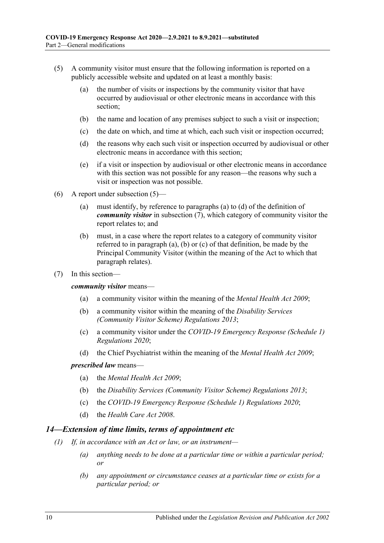- <span id="page-9-1"></span>(5) A community visitor must ensure that the following information is reported on a publicly accessible website and updated on at least a monthly basis:
	- (a) the number of visits or inspections by the community visitor that have occurred by audiovisual or other electronic means in accordance with this section;
	- (b) the name and location of any premises subject to such a visit or inspection;
	- (c) the date on which, and time at which, each such visit or inspection occurred;
	- (d) the reasons why each such visit or inspection occurred by audiovisual or other electronic means in accordance with this section;
	- (e) if a visit or inspection by audiovisual or other electronic means in accordance with this section was not possible for any reason—the reasons why such a visit or inspection was not possible.
- <span id="page-9-2"></span>(6) A report under [subsection](#page-9-1) (5)—
	- (a) must identify, by reference to [paragraphs](#page-9-3) (a) to [\(d\)](#page-9-4) of the definition of *community visitor* in [subsection](#page-9-5) (7), which category of community visitor the report relates to; and
	- (b) must, in a case where the report relates to a category of community visitor referred to in [paragraph](#page-9-3) (a), [\(b\)](#page-9-6) or [\(c\)](#page-9-7) of that definition, be made by the Principal Community Visitor (within the meaning of the Act to which that paragraph relates).
- <span id="page-9-5"></span><span id="page-9-3"></span>(7) In this section—

<span id="page-9-6"></span>*community visitor* means—

- (a) a community visitor within the meaning of the *[Mental Health Act](http://www.legislation.sa.gov.au/index.aspx?action=legref&type=act&legtitle=Mental%20Health%20Act%202009) 2009*;
- (b) a community visitor within the meaning of the *[Disability Services](http://www.legislation.sa.gov.au/index.aspx?action=legref&type=subordleg&legtitle=Disability%20Services%20(Community%20Visitor%20Scheme)%20Regulations%202013)  [\(Community Visitor Scheme\) Regulations](http://www.legislation.sa.gov.au/index.aspx?action=legref&type=subordleg&legtitle=Disability%20Services%20(Community%20Visitor%20Scheme)%20Regulations%202013) 2013*;
- <span id="page-9-7"></span>(c) a community visitor under the *[COVID-19 Emergency Response \(Schedule](http://www.legislation.sa.gov.au/index.aspx?action=legref&type=subordleg&legtitle=COVID-19%20Emergency%20Response%20(Schedule%201)%20Regulations%202020) 1) [Regulations](http://www.legislation.sa.gov.au/index.aspx?action=legref&type=subordleg&legtitle=COVID-19%20Emergency%20Response%20(Schedule%201)%20Regulations%202020) 2020*;
- (d) the Chief Psychiatrist within the meaning of the *[Mental Health Act](http://www.legislation.sa.gov.au/index.aspx?action=legref&type=act&legtitle=Mental%20Health%20Act%202009) 2009*;

#### <span id="page-9-4"></span>*prescribed law* means—

- (a) the *[Mental Health Act 2009](http://www.legislation.sa.gov.au/index.aspx?action=legref&type=act&legtitle=Mental%20Health%20Act%202009)*;
- (b) the *[Disability Services \(Community Visitor Scheme\) Regulations](http://www.legislation.sa.gov.au/index.aspx?action=legref&type=subordleg&legtitle=Disability%20Services%20(Community%20Visitor%20Scheme)%20Regulations%202013) 2013*;
- (c) the *[COVID-19 Emergency Response \(Schedule 1\) Regulations](http://www.legislation.sa.gov.au/index.aspx?action=legref&type=subordleg&legtitle=COVID-19%20Emergency%20Response%20(Schedule%201)%20Regulations%202020) 2020*;
- (d) the *[Health Care Act](http://www.legislation.sa.gov.au/index.aspx?action=legref&type=act&legtitle=Health%20Care%20Act%202008) 2008*.

#### <span id="page-9-8"></span><span id="page-9-0"></span>*14—Extension of time limits, terms of appointment etc*

- *(1) If, in accordance with an Act or law, or an instrument—*
	- *(a) anything needs to be done at a particular time or within a particular period; or*
	- *(b) any appointment or circumstance ceases at a particular time or exists for a particular period; or*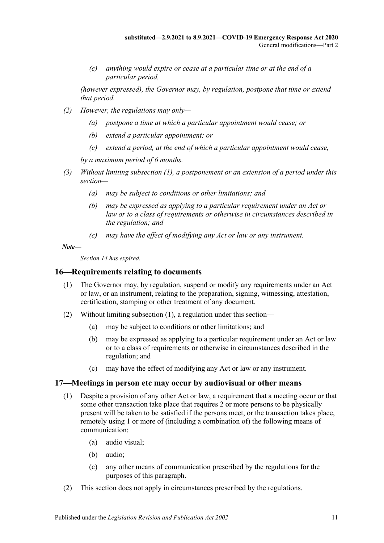*(c) anything would expire or cease at a particular time or at the end of a particular period,*

*(however expressed), the Governor may, by regulation, postpone that time or extend that period.*

- *(2) However, the regulations may only—*
	- *(a) postpone a time at which a particular appointment would cease; or*
	- *(b) extend a particular appointment; or*
	- *(c) extend a period, at the end of which a particular appointment would cease,*

*by a maximum period of 6 months.*

- *(3) Without limiting [subsection](#page-9-8) (1), a postponement or an extension of a period under this section—*
	- *(a) may be subject to conditions or other limitations; and*
	- *(b) may be expressed as applying to a particular requirement under an Act or law or to a class of requirements or otherwise in circumstances described in the regulation; and*
	- *(c) may have the effect of modifying any Act or law or any instrument.*

*Note—*

*Section 14 has expired.*

#### <span id="page-10-2"></span><span id="page-10-0"></span>**16—Requirements relating to documents**

- (1) The Governor may, by regulation, suspend or modify any requirements under an Act or law, or an instrument, relating to the preparation, signing, witnessing, attestation, certification, stamping or other treatment of any document.
- (2) Without limiting [subsection](#page-10-2) (1), a regulation under this section—
	- (a) may be subject to conditions or other limitations; and
	- (b) may be expressed as applying to a particular requirement under an Act or law or to a class of requirements or otherwise in circumstances described in the regulation; and
	- (c) may have the effect of modifying any Act or law or any instrument.

#### <span id="page-10-1"></span>**17—Meetings in person etc may occur by audiovisual or other means**

- (1) Despite a provision of any other Act or law, a requirement that a meeting occur or that some other transaction take place that requires 2 or more persons to be physically present will be taken to be satisfied if the persons meet, or the transaction takes place, remotely using 1 or more of (including a combination of) the following means of communication:
	- (a) audio visual;
	- (b) audio;
	- (c) any other means of communication prescribed by the regulations for the purposes of this paragraph.
- (2) This section does not apply in circumstances prescribed by the regulations.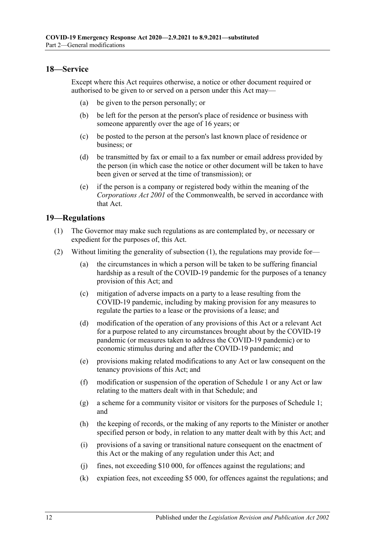#### <span id="page-11-0"></span>**18—Service**

Except where this Act requires otherwise, a notice or other document required or authorised to be given to or served on a person under this Act may—

- (a) be given to the person personally; or
- (b) be left for the person at the person's place of residence or business with someone apparently over the age of 16 years; or
- (c) be posted to the person at the person's last known place of residence or business; or
- (d) be transmitted by fax or email to a fax number or email address provided by the person (in which case the notice or other document will be taken to have been given or served at the time of transmission); or
- (e) if the person is a company or registered body within the meaning of the *Corporations Act 2001* of the Commonwealth, be served in accordance with that Act.

#### <span id="page-11-2"></span><span id="page-11-1"></span>**19—Regulations**

- (1) The Governor may make such regulations as are contemplated by, or necessary or expedient for the purposes of, this Act.
- (2) Without limiting the generality of [subsection](#page-11-2) (1), the regulations may provide for—
	- (a) the circumstances in which a person will be taken to be suffering financial hardship as a result of the COVID-19 pandemic for the purposes of a tenancy provision of this Act; and
	- (c) mitigation of adverse impacts on a party to a lease resulting from the COVID-19 pandemic, including by making provision for any measures to regulate the parties to a lease or the provisions of a lease; and
	- (d) modification of the operation of any provisions of this Act or a relevant Act for a purpose related to any circumstances brought about by the COVID-19 pandemic (or measures taken to address the COVID-19 pandemic) or to economic stimulus during and after the COVID-19 pandemic; and
	- (e) provisions making related modifications to any Act or law consequent on the tenancy provisions of this Act; and
	- (f) modification or suspension of the operation of [Schedule](#page-14-1) 1 or any Act or law relating to the matters dealt with in that Schedule; and
	- (g) a scheme for a community visitor or visitors for the purposes of [Schedule](#page-14-1) 1; and
	- (h) the keeping of records, or the making of any reports to the Minister or another specified person or body, in relation to any matter dealt with by this Act; and
	- (i) provisions of a saving or transitional nature consequent on the enactment of this Act or the making of any regulation under this Act; and
	- (j) fines, not exceeding \$10 000, for offences against the regulations; and
	- (k) expiation fees, not exceeding \$5 000, for offences against the regulations; and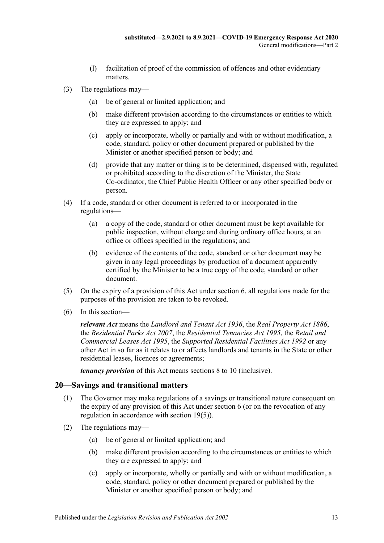- (l) facilitation of proof of the commission of offences and other evidentiary matters.
- (3) The regulations may—
	- (a) be of general or limited application; and
	- (b) make different provision according to the circumstances or entities to which they are expressed to apply; and
	- (c) apply or incorporate, wholly or partially and with or without modification, a code, standard, policy or other document prepared or published by the Minister or another specified person or body; and
	- (d) provide that any matter or thing is to be determined, dispensed with, regulated or prohibited according to the discretion of the Minister, the State Co-ordinator, the Chief Public Health Officer or any other specified body or person.
- (4) If a code, standard or other document is referred to or incorporated in the regulations—
	- (a) a copy of the code, standard or other document must be kept available for public inspection, without charge and during ordinary office hours, at an office or offices specified in the regulations; and
	- (b) evidence of the contents of the code, standard or other document may be given in any legal proceedings by production of a document apparently certified by the Minister to be a true copy of the code, standard or other document.
- <span id="page-12-1"></span>(5) On the expiry of a provision of this Act under [section](#page-2-6) 6, all regulations made for the purposes of the provision are taken to be revoked.
- (6) In this section—

*relevant Act* means the *[Landlord and Tenant Act](http://www.legislation.sa.gov.au/index.aspx?action=legref&type=act&legtitle=Landlord%20and%20Tenant%20Act%201936) 1936*, the *[Real Property Act](http://www.legislation.sa.gov.au/index.aspx?action=legref&type=act&legtitle=Real%20Property%20Act%201886) 1886*, the *[Residential Parks Act](http://www.legislation.sa.gov.au/index.aspx?action=legref&type=act&legtitle=Residential%20Parks%20Act%202007) 2007*, the *[Residential Tenancies Act](http://www.legislation.sa.gov.au/index.aspx?action=legref&type=act&legtitle=Residential%20Tenancies%20Act%201995) 1995*, the *[Retail and](http://www.legislation.sa.gov.au/index.aspx?action=legref&type=act&legtitle=Retail%20and%20Commercial%20Leases%20Act%201995)  [Commercial Leases Act](http://www.legislation.sa.gov.au/index.aspx?action=legref&type=act&legtitle=Retail%20and%20Commercial%20Leases%20Act%201995) 1995*, the *[Supported Residential Facilities Act](http://www.legislation.sa.gov.au/index.aspx?action=legref&type=act&legtitle=Supported%20Residential%20Facilities%20Act%201992) 1992* or any other Act in so far as it relates to or affects landlords and tenants in the State or other residential leases, licences or agreements;

*tenancy provision* of this Act means sections 8 to 10 (inclusive).

#### <span id="page-12-0"></span>**20—Savings and transitional matters**

- (1) The Governor may make regulations of a savings or transitional nature consequent on the expiry of any provision of this Act under [section](#page-2-6) 6 (or on the revocation of any regulation in accordance with [section](#page-12-1) 19(5)).
- (2) The regulations may—
	- (a) be of general or limited application; and
	- (b) make different provision according to the circumstances or entities to which they are expressed to apply; and
	- (c) apply or incorporate, wholly or partially and with or without modification, a code, standard, policy or other document prepared or published by the Minister or another specified person or body; and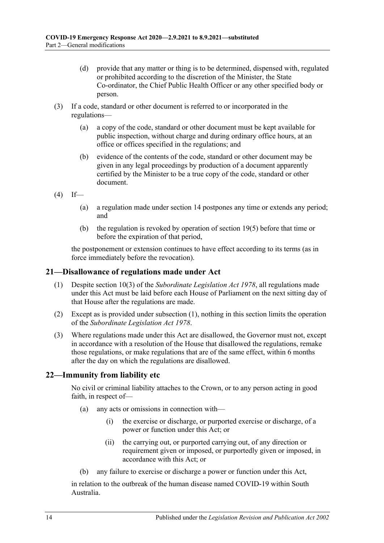- (d) provide that any matter or thing is to be determined, dispensed with, regulated or prohibited according to the discretion of the Minister, the State Co-ordinator, the Chief Public Health Officer or any other specified body or person.
- (3) If a code, standard or other document is referred to or incorporated in the regulations—
	- (a) a copy of the code, standard or other document must be kept available for public inspection, without charge and during ordinary office hours, at an office or offices specified in the regulations; and
	- (b) evidence of the contents of the code, standard or other document may be given in any legal proceedings by production of a document apparently certified by the Minister to be a true copy of the code, standard or other document.
- $(4)$  If—
	- (a) a regulation made under [section](#page-9-0) 14 postpones any time or extends any period; and
	- (b) the regulation is revoked by operation of [section](#page-12-1) 19(5) before that time or before the expiration of that period,

the postponement or extension continues to have effect according to its terms (as in force immediately before the revocation).

#### <span id="page-13-2"></span><span id="page-13-0"></span>**21—Disallowance of regulations made under Act**

- (1) Despite section 10(3) of the *[Subordinate Legislation Act](http://www.legislation.sa.gov.au/index.aspx?action=legref&type=act&legtitle=Subordinate%20Legislation%20Act%201978) 1978*, all regulations made under this Act must be laid before each House of Parliament on the next sitting day of that House after the regulations are made.
- (2) Except as is provided under [subsection](#page-13-2) (1), nothing in this section limits the operation of the *[Subordinate Legislation Act](http://www.legislation.sa.gov.au/index.aspx?action=legref&type=act&legtitle=Subordinate%20Legislation%20Act%201978) 1978*.
- (3) Where regulations made under this Act are disallowed, the Governor must not, except in accordance with a resolution of the House that disallowed the regulations, remake those regulations, or make regulations that are of the same effect, within 6 months after the day on which the regulations are disallowed.

#### <span id="page-13-1"></span>**22—Immunity from liability etc**

No civil or criminal liability attaches to the Crown, or to any person acting in good faith, in respect of—

- (a) any acts or omissions in connection with—
	- (i) the exercise or discharge, or purported exercise or discharge, of a power or function under this Act; or
	- (ii) the carrying out, or purported carrying out, of any direction or requirement given or imposed, or purportedly given or imposed, in accordance with this Act; or
- (b) any failure to exercise or discharge a power or function under this Act,

in relation to the outbreak of the human disease named COVID-19 within South Australia.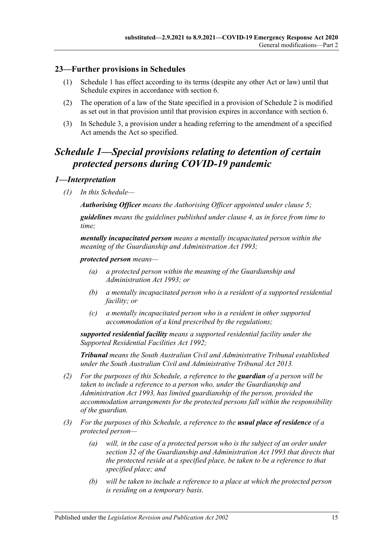#### <span id="page-14-0"></span>**23—Further provisions in Schedules**

- (1) [Schedule](#page-14-1) 1 has effect according to its terms (despite any other Act or law) until that Schedule expires in accordance with [section](#page-2-6) 6.
- (2) The operation of a law of the State specified in a provision of [Schedule](#page-22-2) 2 is modified as set out in that provision until that provision expires in accordance with [section](#page-2-6) 6.
- (3) In Schedule 3, a provision under a heading referring to the amendment of a specified Act amends the Act so specified.

## <span id="page-14-1"></span>*Schedule 1—Special provisions relating to detention of certain protected persons during COVID-19 pandemic*

#### <span id="page-14-2"></span>*1—Interpretation*

*(1) In this Schedule—*

*Authorising Officer means the Authorising Officer appointed under [clause](#page-15-3) 5;*

*guidelines means the guidelines published under [clause](#page-15-2) 4, as in force from time to time;*

*mentally incapacitated person means a mentally incapacitated person within the meaning of the [Guardianship and Administration Act](http://www.legislation.sa.gov.au/index.aspx?action=legref&type=act&legtitle=Guardianship%20and%20Administration%20Act%201993) 1993;*

#### *protected person means—*

- *(a) a protected person within the meaning of the [Guardianship and](http://www.legislation.sa.gov.au/index.aspx?action=legref&type=act&legtitle=Guardianship%20and%20Administration%20Act%201993)  [Administration Act](http://www.legislation.sa.gov.au/index.aspx?action=legref&type=act&legtitle=Guardianship%20and%20Administration%20Act%201993) 1993; or*
- *(b) a mentally incapacitated person who is a resident of a supported residential facility; or*
- *(c) a mentally incapacitated person who is a resident in other supported accommodation of a kind prescribed by the regulations;*

*supported residential facility means a supported residential facility under the [Supported Residential Facilities Act](http://www.legislation.sa.gov.au/index.aspx?action=legref&type=act&legtitle=Supported%20Residential%20Facilities%20Act%201992) 1992;*

*Tribunal means the South Australian Civil and Administrative Tribunal established under the [South Australian Civil and Administrative Tribunal Act](http://www.legislation.sa.gov.au/index.aspx?action=legref&type=act&legtitle=South%20Australian%20Civil%20and%20Administrative%20Tribunal%20Act%202013) 2013.*

- *(2) For the purposes of this Schedule, a reference to the guardian of a person will be taken to include a reference to a person who, under the [Guardianship and](http://www.legislation.sa.gov.au/index.aspx?action=legref&type=act&legtitle=Guardianship%20and%20Administration%20Act%201993)  [Administration Act](http://www.legislation.sa.gov.au/index.aspx?action=legref&type=act&legtitle=Guardianship%20and%20Administration%20Act%201993) 1993, has limited guardianship of the person, provided the accommodation arrangements for the protected persons fall within the responsibility of the guardian.*
- *(3) For the purposes of this Schedule, a reference to the usual place of residence of a protected person—*
	- *(a) will, in the case of a protected person who is the subject of an order under section 32 of the [Guardianship and Administration Act](http://www.legislation.sa.gov.au/index.aspx?action=legref&type=act&legtitle=Guardianship%20and%20Administration%20Act%201993) 1993 that directs that the protected reside at a specified place, be taken to be a reference to that specified place; and*
	- *(b) will be taken to include a reference to a place at which the protected person is residing on a temporary basis.*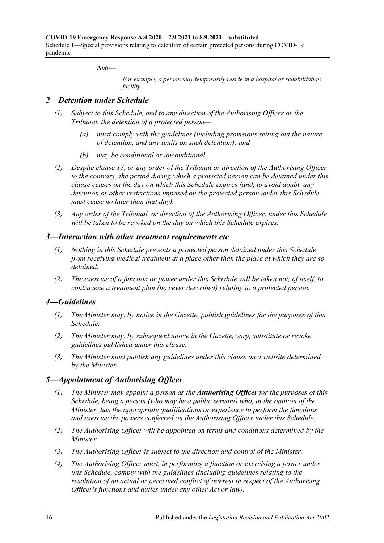#### *Note—*

*For example, a person may temporarily reside in a hospital or rehabilitation facility.*

#### <span id="page-15-0"></span>*2—Detention under Schedule*

- *(1) Subject to this Schedule, and to any direction of the Authorising Officer or the Tribunal, the detention of a protected person—*
	- *(a) must comply with the guidelines (including provisions setting out the nature of detention, and any limits on such detention); and*
	- *(b) may be conditional or unconditional.*
- *(2) Despite [clause](#page-20-0) 13, or any order of the Tribunal or direction of the Authorising Officer to the contrary, the period during which a protected person can be detained under this clause ceases on the day on which this Schedule expires (and, to avoid doubt, any detention or other restrictions imposed on the protected person under this Schedule must cease no later than that day).*
- *(3) Any order of the Tribunal, or direction of the Authorising Officer, under this Schedule will be taken to be revoked on the day on which this Schedule expires.*

#### <span id="page-15-1"></span>*3—Interaction with other treatment requirements etc*

- *(1) Nothing in this Schedule prevents a protected person detained under this Schedule from receiving medical treatment at a place other than the place at which they are so detained.*
- *(2) The exercise of a function or power under this Schedule will be taken not, of itself, to contravene a treatment plan (however described) relating to a protected person.*

#### <span id="page-15-2"></span>*4—Guidelines*

- *(1) The Minister may, by notice in the Gazette, publish guidelines for the purposes of this Schedule.*
- *(2) The Minister may, by subsequent notice in the Gazette, vary, substitute or revoke guidelines published under this clause.*
- *(3) The Minister must publish any guidelines under this clause on a website determined by the Minister.*

#### <span id="page-15-3"></span>*5—Appointment of Authorising Officer*

- *(1) The Minister may appoint a person as the Authorising Officer for the purposes of this Schedule, being a person (who may be a public servant) who, in the opinion of the Minister, has the appropriate qualifications or experience to perform the functions and exercise the powers conferred on the Authorising Officer under this Schedule.*
- *(2) The Authorising Officer will be appointed on terms and conditions determined by the Minister.*
- *(3) The Authorising Officer is subject to the direction and control of the Minister.*
- *(4) The Authorising Officer must, in performing a function or exercising a power under this Schedule, comply with the guidelines (including guidelines relating to the resolution of an actual or perceived conflict of interest in respect of the Authorising Officer's functions and duties under any other Act or law).*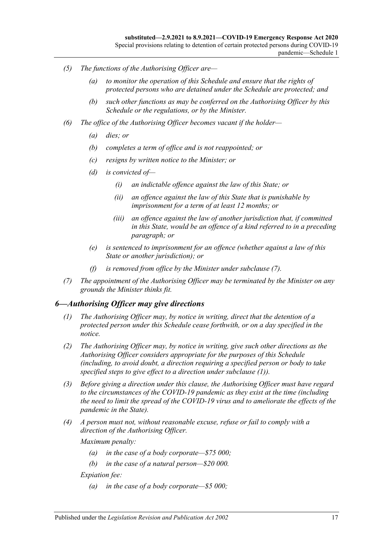- *(5) The functions of the Authorising Officer are—*
	- *(a) to monitor the operation of this Schedule and ensure that the rights of protected persons who are detained under the Schedule are protected; and*
	- *(b) such other functions as may be conferred on the Authorising Officer by this Schedule or the regulations, or by the Minister.*
- *(6) The office of the Authorising Officer becomes vacant if the holder—*
	- *(a) dies; or*
	- *(b) completes a term of office and is not reappointed; or*
	- *(c) resigns by written notice to the Minister; or*
	- *(d) is convicted of—*
		- *(i) an indictable offence against the law of this State; or*
		- *(ii) an offence against the law of this State that is punishable by imprisonment for a term of at least 12 months; or*
		- *(iii) an offence against the law of another jurisdiction that, if committed in this State, would be an offence of a kind referred to in a preceding paragraph; or*
	- *(e) is sentenced to imprisonment for an offence (whether against a law of this State or another jurisdiction); or*
	- *(f) is removed from office by the Minister under [subclause](#page-16-1) (7).*
- <span id="page-16-1"></span>*(7) The appointment of the Authorising Officer may be terminated by the Minister on any grounds the Minister thinks fit.*

#### <span id="page-16-2"></span><span id="page-16-0"></span>*6—Authorising Officer may give directions*

- *(1) The Authorising Officer may, by notice in writing, direct that the detention of a protected person under this Schedule cease forthwith, or on a day specified in the notice.*
- *(2) The Authorising Officer may, by notice in writing, give such other directions as the Authorising Officer considers appropriate for the purposes of this Schedule (including, to avoid doubt, a direction requiring a specified person or body to take specified steps to give effect to a direction under [subclause](#page-16-2) (1)).*
- *(3) Before giving a direction under this clause, the Authorising Officer must have regard to the circumstances of the COVID-19 pandemic as they exist at the time (including the need to limit the spread of the COVID-19 virus and to ameliorate the effects of the pandemic in the State).*
- *(4) A person must not, without reasonable excuse, refuse or fail to comply with a direction of the Authorising Officer.*

*Maximum penalty:* 

- *(a) in the case of a body corporate—\$75 000;*
- *(b) in the case of a natural person—\$20 000.*

*Expiation fee:* 

*(a) in the case of a body corporate—\$5 000;*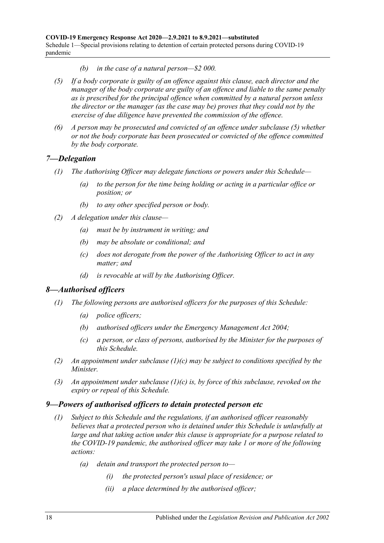- *(b) in the case of a natural person—\$2 000.*
- <span id="page-17-3"></span>*(5) If a body corporate is guilty of an offence against this clause, each director and the manager of the body corporate are guilty of an offence and liable to the same penalty as is prescribed for the principal offence when committed by a natural person unless the director or the manager (as the case may be) proves that they could not by the exercise of due diligence have prevented the commission of the offence.*
- *(6) A person may be prosecuted and convicted of an offence under [subclause](#page-17-3) (5) whether or not the body corporate has been prosecuted or convicted of the offence committed by the body corporate.*

#### <span id="page-17-0"></span>*7—Delegation*

- *(1) The Authorising Officer may delegate functions or powers under this Schedule—*
	- *(a) to the person for the time being holding or acting in a particular office or position; or*
	- *(b) to any other specified person or body.*
- *(2) A delegation under this clause—*
	- *(a) must be by instrument in writing; and*
	- *(b) may be absolute or conditional; and*
	- *(c) does not derogate from the power of the Authorising Officer to act in any matter; and*
	- *(d) is revocable at will by the Authorising Officer.*

#### <span id="page-17-1"></span>*8—Authorised officers*

- *(1) The following persons are authorised officers for the purposes of this Schedule:*
	- *(a) police officers;*
	- *(b) authorised officers under the [Emergency Management Act](http://www.legislation.sa.gov.au/index.aspx?action=legref&type=act&legtitle=Emergency%20Management%20Act%202004) 2004;*
	- *(c) a person, or class of persons, authorised by the Minister for the purposes of this Schedule.*
- <span id="page-17-4"></span>*(2) An appointment under [subclause](#page-17-4) (1)(c) may be subject to conditions specified by the Minister.*
- *(3) An appointment under [subclause](#page-17-4) (1)(c) is, by force of this subclause, revoked on the expiry or repeal of this Schedule.*

#### <span id="page-17-2"></span>*9—Powers of authorised officers to detain protected person etc*

- *(1) Subject to this Schedule and the regulations, if an authorised officer reasonably believes that a protected person who is detained under this Schedule is unlawfully at large and that taking action under this clause is appropriate for a purpose related to the COVID-19 pandemic, the authorised officer may take 1 or more of the following actions:*
	- *(a) detain and transport the protected person to—*
		- *(i) the protected person's usual place of residence; or*
		- *(ii) a place determined by the authorised officer;*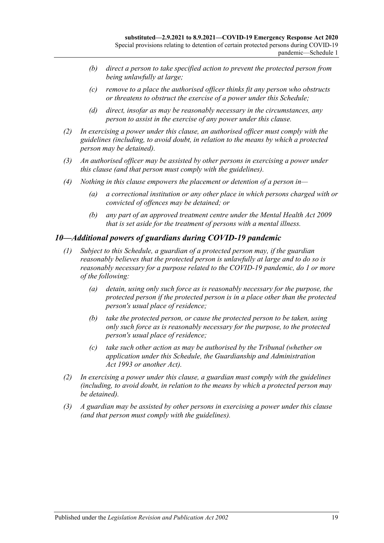- *(b) direct a person to take specified action to prevent the protected person from being unlawfully at large;*
- *(c) remove to a place the authorised officer thinks fit any person who obstructs or threatens to obstruct the exercise of a power under this Schedule;*
- *(d) direct, insofar as may be reasonably necessary in the circumstances, any person to assist in the exercise of any power under this clause.*
- *(2) In exercising a power under this clause, an authorised officer must comply with the guidelines (including, to avoid doubt, in relation to the means by which a protected person may be detained).*
- *(3) An authorised officer may be assisted by other persons in exercising a power under this clause (and that person must comply with the guidelines).*
- *(4) Nothing in this clause empowers the placement or detention of a person in—*
	- *(a) a correctional institution or any other place in which persons charged with or convicted of offences may be detained; or*
	- *(b) any part of an approved treatment centre under the [Mental Health Act](http://www.legislation.sa.gov.au/index.aspx?action=legref&type=act&legtitle=Mental%20Health%20Act%202009) 2009 that is set aside for the treatment of persons with a mental illness.*

#### <span id="page-18-0"></span>*10—Additional powers of guardians during COVID-19 pandemic*

- *(1) Subject to this Schedule, a guardian of a protected person may, if the guardian reasonably believes that the protected person is unlawfully at large and to do so is reasonably necessary for a purpose related to the COVID-19 pandemic, do 1 or more of the following:*
	- *(a) detain, using only such force as is reasonably necessary for the purpose, the protected person if the protected person is in a place other than the protected person's usual place of residence;*
	- *(b) take the protected person, or cause the protected person to be taken, using only such force as is reasonably necessary for the purpose, to the protected person's usual place of residence;*
	- *(c) take such other action as may be authorised by the Tribunal (whether on application under this Schedule, the [Guardianship and Administration](http://www.legislation.sa.gov.au/index.aspx?action=legref&type=act&legtitle=Guardianship%20and%20Administration%20Act%201993)  Act [1993](http://www.legislation.sa.gov.au/index.aspx?action=legref&type=act&legtitle=Guardianship%20and%20Administration%20Act%201993) or another Act).*
- *(2) In exercising a power under this clause, a guardian must comply with the guidelines (including, to avoid doubt, in relation to the means by which a protected person may be detained).*
- *(3) A guardian may be assisted by other persons in exercising a power under this clause (and that person must comply with the guidelines).*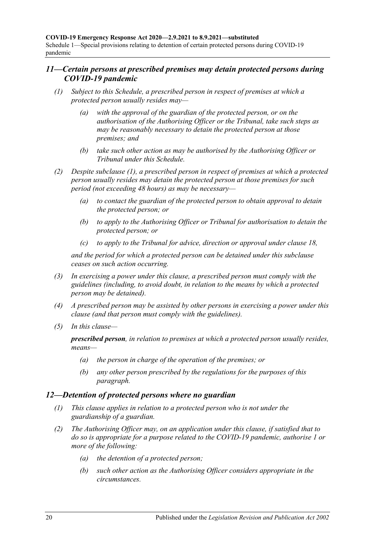#### <span id="page-19-0"></span>*11—Certain persons at prescribed premises may detain protected persons during COVID-19 pandemic*

- <span id="page-19-3"></span><span id="page-19-2"></span>*(1) Subject to this Schedule, a prescribed person in respect of premises at which a protected person usually resides may—*
	- *(a) with the approval of the guardian of the protected person, or on the authorisation of the Authorising Officer or the Tribunal, take such steps as may be reasonably necessary to detain the protected person at those premises; and*
	- *(b) take such other action as may be authorised by the Authorising Officer or Tribunal under this Schedule.*
- *(2) Despite [subclause](#page-19-2) (1), a prescribed person in respect of premises at which a protected person usually resides may detain the protected person at those premises for such period (not exceeding 48 hours) as may be necessary—*
	- *(a) to contact the guardian of the protected person to obtain approval to detain the protected person; or*
	- *(b) to apply to the Authorising Officer or Tribunal for authorisation to detain the protected person; or*
	- *(c) to apply to the Tribunal for advice, direction or approval under [clause](#page-22-0) 18,*

*and the period for which a protected person can be detained under this subclause ceases on such action occurring.*

- *(3) In exercising a power under this clause, a prescribed person must comply with the guidelines (including, to avoid doubt, in relation to the means by which a protected person may be detained).*
- *(4) A prescribed person may be assisted by other persons in exercising a power under this clause (and that person must comply with the guidelines).*
- *(5) In this clause—*

*prescribed person, in relation to premises at which a protected person usually resides, means—*

- *(a) the person in charge of the operation of the premises; or*
- *(b) any other person prescribed by the regulations for the purposes of this paragraph.*

#### <span id="page-19-1"></span>*12—Detention of protected persons where no guardian*

- *(1) This clause applies in relation to a protected person who is not under the guardianship of a guardian.*
- *(2) The Authorising Officer may, on an application under this clause, if satisfied that to do so is appropriate for a purpose related to the COVID-19 pandemic, authorise 1 or more of the following:*
	- *(a) the detention of a protected person;*
	- *(b) such other action as the Authorising Officer considers appropriate in the circumstances.*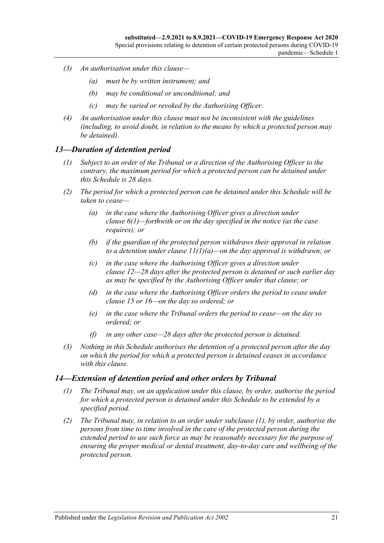- *(3) An authorisation under this clause—*
	- *(a) must be by written instrument; and*
	- *(b) may be conditional or unconditional; and*
	- *(c) may be varied or revoked by the Authorising Officer.*
- *(4) An authorisation under this clause must not be inconsistent with the guidelines (including, to avoid doubt, in relation to the means by which a protected person may be detained).*

#### <span id="page-20-0"></span>*13—Duration of detention period*

- *(1) Subject to an order of the Tribunal or a direction of the Authorising Officer to the contrary, the maximum period for which a protected person can be detained under this Schedule is 28 days.*
- *(2) The period for which a protected person can be detained under this Schedule will be taken to cease—*
	- *(a) in the case where the Authorising Officer gives a direction under [clause](#page-16-2) 6(1)—forthwith or on the day specified in the notice (as the case requires); or*
	- *(b) if the guardian of the protected person withdraws their approval in relation to a detention under clause [11\(1\)\(a\)—](#page-19-3)on the day approval is withdrawn; or*
	- *(c) in the case where the Authorising Officer gives a direction under [clause](#page-19-1) 12—28 days after the protected person is detained or such earlier day as may be specified by the Authorising Officer under that clause; or*
	- *(d) in the case where the Authorising Officer orders the period to cease under [clause](#page-21-0) 15 or [16—](#page-21-1)on the day so ordered; or*
	- *(e) in the case where the Tribunal orders the period to cease—on the day so ordered; or*
	- *(f) in any other case—28 days after the protected person is detained.*
- *(3) Nothing in this Schedule authorises the detention of a protected person after the day on which the period for which a protected person is detained ceases in accordance with this clause.*

#### <span id="page-20-2"></span><span id="page-20-1"></span>*14—Extension of detention period and other orders by Tribunal*

- *(1) The Tribunal may, on an application under this clause, by order, authorise the period for which a protected person is detained under this Schedule to be extended by a specified period.*
- *(2) The Tribunal may, in relation to an order under [subclause](#page-20-2) (1), by order, authorise the persons from time to time involved in the care of the protected person during the extended period to use such force as may be reasonably necessary for the purpose of ensuring the proper medical or dental treatment, day-to-day care and wellbeing of the protected person.*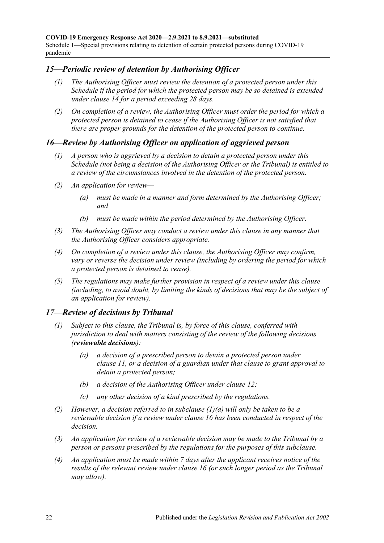#### <span id="page-21-0"></span>*15—Periodic review of detention by Authorising Officer*

- *(1) The Authorising Officer must review the detention of a protected person under this Schedule if the period for which the protected person may be so detained is extended under [clause](#page-20-1) 14 for a period exceeding 28 days.*
- *(2) On completion of a review, the Authorising Officer must order the period for which a protected person is detained to cease if the Authorising Officer is not satisfied that there are proper grounds for the detention of the protected person to continue.*

#### <span id="page-21-1"></span>*16—Review by Authorising Officer on application of aggrieved person*

- *(1) A person who is aggrieved by a decision to detain a protected person under this Schedule (not being a decision of the Authorising Officer or the Tribunal) is entitled to a review of the circumstances involved in the detention of the protected person.*
- *(2) An application for review—*
	- *(a) must be made in a manner and form determined by the Authorising Officer; and*
	- *(b) must be made within the period determined by the Authorising Officer.*
- *(3) The Authorising Officer may conduct a review under this clause in any manner that the Authorising Officer considers appropriate.*
- *(4) On completion of a review under this clause, the Authorising Officer may confirm, vary or reverse the decision under review (including by ordering the period for which a protected person is detained to cease).*
- *(5) The regulations may make further provision in respect of a review under this clause (including, to avoid doubt, by limiting the kinds of decisions that may be the subject of an application for review).*

#### <span id="page-21-2"></span>*17—Review of decisions by Tribunal*

- <span id="page-21-3"></span>*(1) Subject to this clause, the Tribunal is, by force of this clause, conferred with jurisdiction to deal with matters consisting of the review of the following decisions (reviewable decisions):*
	- *(a) a decision of a prescribed person to detain a protected person under [clause](#page-19-0) 11, or a decision of a guardian under that clause to grant approval to detain a protected person;*
	- *(b) a decision of the Authorising Officer under [clause](#page-19-1) 12;*
	- *(c) any other decision of a kind prescribed by the regulations.*
- *(2) However, a decision referred to in [subclause](#page-21-3) (1)(a) will only be taken to be a reviewable decision if a review under [clause](#page-21-1) 16 has been conducted in respect of the decision.*
- *(3) An application for review of a reviewable decision may be made to the Tribunal by a person or persons prescribed by the regulations for the purposes of this subclause.*
- *(4) An application must be made within 7 days after the applicant receives notice of the results of the relevant review under [clause](#page-21-1) 16 (or such longer period as the Tribunal may allow).*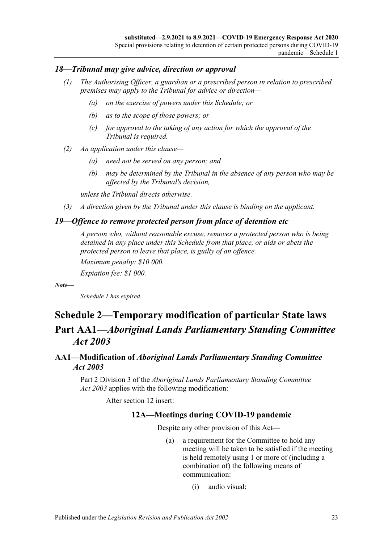#### <span id="page-22-0"></span>*18—Tribunal may give advice, direction or approval*

- *(1) The Authorising Officer, a guardian or a prescribed person in relation to prescribed premises may apply to the Tribunal for advice or direction—*
	- *(a) on the exercise of powers under this Schedule; or*
	- *(b) as to the scope of those powers; or*
	- *(c) for approval to the taking of any action for which the approval of the Tribunal is required.*
- *(2) An application under this clause—*
	- *(a) need not be served on any person; and*
	- *(b) may be determined by the Tribunal in the absence of any person who may be affected by the Tribunal's decision,*

*unless the Tribunal directs otherwise.*

*(3) A direction given by the Tribunal under this clause is binding on the applicant.*

#### <span id="page-22-1"></span>*19—Offence to remove protected person from place of detention etc*

*A person who, without reasonable excuse, removes a protected person who is being detained in any place under this Schedule from that place, or aids or abets the protected person to leave that place, is guilty of an offence.*

*Maximum penalty: \$10 000.*

*Expiation fee: \$1 000.*

*Note—*

*Schedule 1 has expired.*

## <span id="page-22-2"></span>**Schedule 2—Temporary modification of particular State laws Part AA1—***Aboriginal Lands Parliamentary Standing Committee Act 2003*

#### <span id="page-22-3"></span>**AA1—Modification of** *Aboriginal Lands Parliamentary Standing Committee Act 2003*

Part 2 Division 3 of the *[Aboriginal Lands Parliamentary Standing Committee](http://www.legislation.sa.gov.au/index.aspx?action=legref&type=act&legtitle=Aboriginal%20Lands%20Parliamentary%20Standing%20Committee%20Act%202003)  Act [2003](http://www.legislation.sa.gov.au/index.aspx?action=legref&type=act&legtitle=Aboriginal%20Lands%20Parliamentary%20Standing%20Committee%20Act%202003)* applies with the following modification:

After section 12 insert:

#### **12A—Meetings during COVID-19 pandemic**

Despite any other provision of this Act—

- (a) a requirement for the Committee to hold any meeting will be taken to be satisfied if the meeting is held remotely using 1 or more of (including a combination of) the following means of communication:
	- (i) audio visual;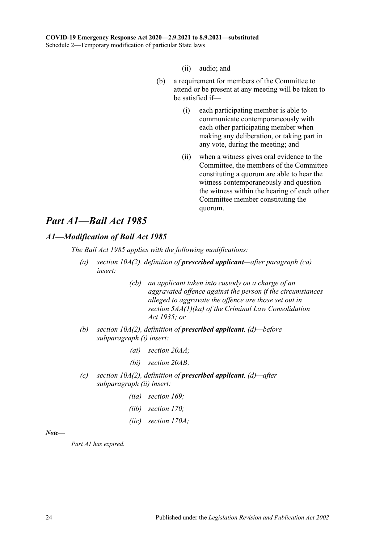(ii) audio; and

- (b) a requirement for members of the Committee to attend or be present at any meeting will be taken to be satisfied if—
	- (i) each participating member is able to communicate contemporaneously with each other participating member when making any deliberation, or taking part in any vote, during the meeting; and
	- (ii) when a witness gives oral evidence to the Committee, the members of the Committee constituting a quorum are able to hear the witness contemporaneously and question the witness within the hearing of each other Committee member constituting the quorum.

## *Part A1—Bail Act 1985*

### <span id="page-23-0"></span>*A1—Modification of Bail Act 1985*

*The [Bail Act](http://www.legislation.sa.gov.au/index.aspx?action=legref&type=act&legtitle=Bail%20Act%201985) 1985 applies with the following modifications:*

- *(a) section 10A(2), definition of prescribed applicant—after paragraph (ca) insert:*
	- *(cb) an applicant taken into custody on a charge of an aggravated offence against the person if the circumstances alleged to aggravate the offence are those set out in section 5AA(1)(ka) of the [Criminal Law Consolidation](http://www.legislation.sa.gov.au/index.aspx?action=legref&type=act&legtitle=Criminal%20Law%20Consolidation%20Act%201935)  Act [1935;](http://www.legislation.sa.gov.au/index.aspx?action=legref&type=act&legtitle=Criminal%20Law%20Consolidation%20Act%201935) or*
- *(b) section 10A(2), definition of prescribed applicant, (d)—before subparagraph (i) insert:*
	- *(ai) section 20AA;*
	- *(bi) section 20AB;*
- *(c) section 10A(2), definition of prescribed applicant, (d)—after subparagraph (ii) insert:*
	- *(iia) section 169;*
	- *(iib) section 170;*
	- *(iic) section 170A;*

#### *Note—*

*Part A1 has expired.*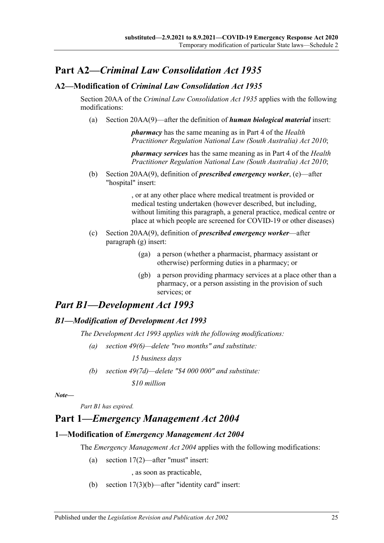## **Part A2—***Criminal Law Consolidation Act 1935*

#### <span id="page-24-0"></span>**A2—Modification of** *Criminal Law Consolidation Act 1935*

Section 20AA of the *[Criminal Law Consolidation Act](http://www.legislation.sa.gov.au/index.aspx?action=legref&type=act&legtitle=Criminal%20Law%20Consolidation%20Act%201935) 1935* applies with the following modifications:

(a) Section 20AA(9)—after the definition of *human biological material* insert:

*pharmacy* has the same meaning as in Part 4 of the *[Health](http://www.legislation.sa.gov.au/index.aspx?action=legref&type=act&legtitle=Health%20Practitioner%20Regulation%20National%20Law%20(South%20Australia)%20Act%202010)  [Practitioner Regulation National Law \(South Australia\) Act](http://www.legislation.sa.gov.au/index.aspx?action=legref&type=act&legtitle=Health%20Practitioner%20Regulation%20National%20Law%20(South%20Australia)%20Act%202010) 2010*;

*pharmacy services* has the same meaning as in Part 4 of the *[Health](http://www.legislation.sa.gov.au/index.aspx?action=legref&type=act&legtitle=Health%20Practitioner%20Regulation%20National%20Law%20(South%20Australia)%20Act%202010)  [Practitioner Regulation National Law \(South Australia\) Act](http://www.legislation.sa.gov.au/index.aspx?action=legref&type=act&legtitle=Health%20Practitioner%20Regulation%20National%20Law%20(South%20Australia)%20Act%202010) 2010*;

(b) Section 20AA(9), definition of *prescribed emergency worker*, (e)—after "hospital" insert:

> , or at any other place where medical treatment is provided or medical testing undertaken (however described, but including, without limiting this paragraph, a general practice, medical centre or place at which people are screened for COVID-19 or other diseases)

- (c) Section 20AA(9), definition of *prescribed emergency worker*—after paragraph (g) insert:
	- (ga) a person (whether a pharmacist, pharmacy assistant or otherwise) performing duties in a pharmacy; or
	- (gb) a person providing pharmacy services at a place other than a pharmacy, or a person assisting in the provision of such services; or

## *Part B1—Development Act 1993*

#### <span id="page-24-1"></span>*B1—Modification of Development Act 1993*

*The [Development Act](http://www.legislation.sa.gov.au/index.aspx?action=legref&type=act&legtitle=Development%20Act%201993) 1993 applies with the following modifications:*

*(a) section 49(6)—delete "two months" and substitute:*

*15 business days*

*(b) section 49(7d)—delete "\$4 000 000" and substitute:*

*\$10 million*

*Note—*

*Part B1 has expired.*

### **Part 1—***Emergency Management Act 2004*

#### <span id="page-24-2"></span>**1—Modification of** *Emergency Management Act 2004*

The *[Emergency Management Act](http://www.legislation.sa.gov.au/index.aspx?action=legref&type=act&legtitle=Emergency%20Management%20Act%202004) 2004* applies with the following modifications:

(a) section 17(2)—after "must" insert:

, as soon as practicable,

(b) section  $17(3)(b)$ —after "identity card" insert: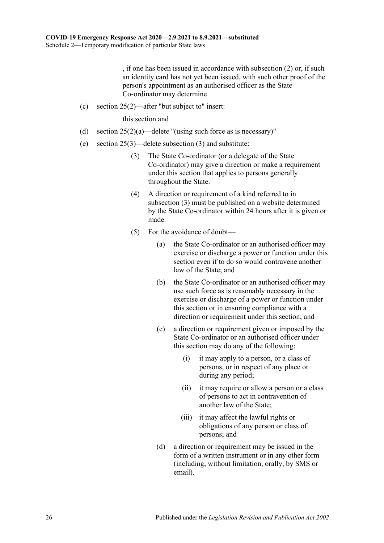, if one has been issued in accordance with subsection (2) or, if such an identity card has not yet been issued, with such other proof of the person's appointment as an authorised officer as the State Co-ordinator may determine

(c) section 25(2)—after "but subject to" insert:

this section and

- (d) section  $25(2)(a)$ —delete "(using such force as is necessary)"
- <span id="page-25-0"></span>(e) section 25(3)—delete subsection (3) and substitute:
	- (3) The State Co-ordinator (or a delegate of the State Co-ordinator) may give a direction or make a requirement under this section that applies to persons generally throughout the State.
	- (4) A direction or requirement of a kind referred to in [subsection](#page-25-0) (3) must be published on a website determined by the State Co-ordinator within 24 hours after it is given or made.
	- (5) For the avoidance of doubt—
		- (a) the State Co-ordinator or an authorised officer may exercise or discharge a power or function under this section even if to do so would contravene another law of the State; and
		- (b) the State Co-ordinator or an authorised officer may use such force as is reasonably necessary in the exercise or discharge of a power or function under this section or in ensuring compliance with a direction or requirement under this section; and
		- (c) a direction or requirement given or imposed by the State Co-ordinator or an authorised officer under this section may do any of the following:
			- (i) it may apply to a person, or a class of persons, or in respect of any place or during any period;
			- (ii) it may require or allow a person or a class of persons to act in contravention of another law of the State;
			- (iii) it may affect the lawful rights or obligations of any person or class of persons; and
		- (d) a direction or requirement may be issued in the form of a written instrument or in any other form (including, without limitation, orally, by SMS or email).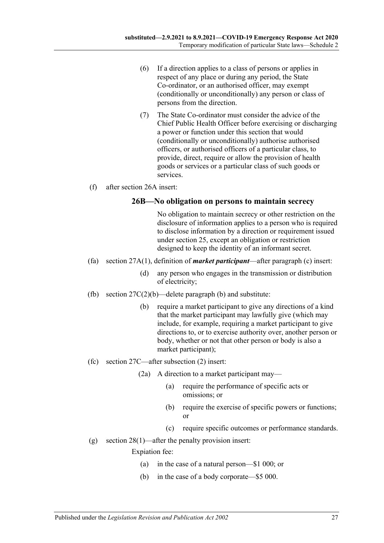- (6) If a direction applies to a class of persons or applies in respect of any place or during any period, the State Co-ordinator, or an authorised officer, may exempt (conditionally or unconditionally) any person or class of persons from the direction.
- (7) The State Co-ordinator must consider the advice of the Chief Public Health Officer before exercising or discharging a power or function under this section that would (conditionally or unconditionally) authorise authorised officers, or authorised officers of a particular class, to provide, direct, require or allow the provision of health goods or services or a particular class of such goods or services.
- (f) after section 26A insert:

#### **26B—No obligation on persons to maintain secrecy**

No obligation to maintain secrecy or other restriction on the disclosure of information applies to a person who is required to disclose information by a direction or requirement issued under section 25, except an obligation or restriction designed to keep the identity of an informant secret.

- (fa) section 27A(1), definition of *market participant*—after paragraph (c) insert:
	- (d) any person who engages in the transmission or distribution of electricity;
- (fb) section  $27C(2)(b)$ —delete paragraph (b) and substitute:
	- (b) require a market participant to give any directions of a kind that the market participant may lawfully give (which may include, for example, requiring a market participant to give directions to, or to exercise authority over, another person or body, whether or not that other person or body is also a market participant);
- (fc) section 27C—after subsection (2) insert:
	- (2a) A direction to a market participant may—
		- (a) require the performance of specific acts or omissions; or
		- (b) require the exercise of specific powers or functions; or
		- (c) require specific outcomes or performance standards.
- (g) section  $28(1)$ —after the penalty provision insert:

Expiation fee:

- (a) in the case of a natural person—\$1 000; or
- (b) in the case of a body corporate—\$5 000.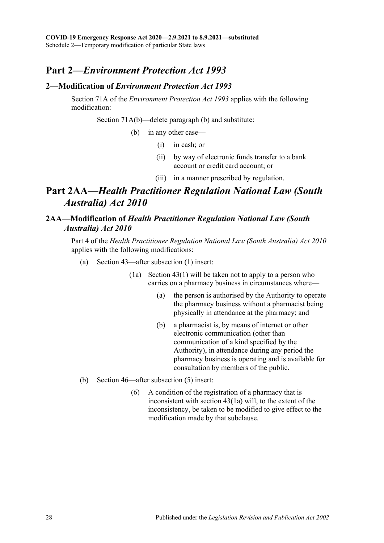## **Part 2—***Environment Protection Act 1993*

#### <span id="page-27-0"></span>**2—Modification of** *Environment Protection Act 1993*

Section 71A of the *[Environment Protection Act](http://www.legislation.sa.gov.au/index.aspx?action=legref&type=act&legtitle=Environment%20Protection%20Act%201993) 1993* applies with the following modification:

Section 71A(b)—delete paragraph (b) and substitute:

(b) in any other case—

- (i) in cash; or
- (ii) by way of electronic funds transfer to a bank account or credit card account; or
- (iii) in a manner prescribed by regulation.

## **Part 2AA—***Health Practitioner Regulation National Law (South Australia) Act 2010*

#### <span id="page-27-1"></span>**2AA—Modification of** *Health Practitioner Regulation National Law (South Australia) Act 2010*

Part 4 of the *[Health Practitioner Regulation National Law \(South Australia\) Act](http://www.legislation.sa.gov.au/index.aspx?action=legref&type=act&legtitle=Health%20Practitioner%20Regulation%20National%20Law%20(South%20Australia)%20Act%202010) 2010* applies with the following modifications:

- (a) Section 43—after subsection (1) insert:
	- (1a) Section 43(1) will be taken not to apply to a person who carries on a pharmacy business in circumstances where—
		- (a) the person is authorised by the Authority to operate the pharmacy business without a pharmacist being physically in attendance at the pharmacy; and
		- (b) a pharmacist is, by means of internet or other electronic communication (other than communication of a kind specified by the Authority), in attendance during any period the pharmacy business is operating and is available for consultation by members of the public.
- (b) Section 46—after subsection (5) insert:
	- (6) A condition of the registration of a pharmacy that is inconsistent with section 43(1a) will, to the extent of the inconsistency, be taken to be modified to give effect to the modification made by that subclause.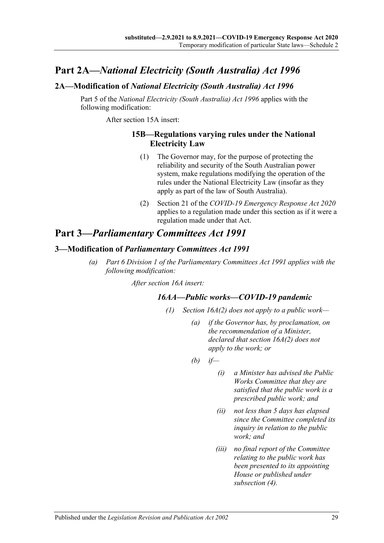## **Part 2A—***National Electricity (South Australia) Act 1996*

#### <span id="page-28-0"></span>**2A—Modification of** *National Electricity (South Australia) Act 1996*

Part 5 of the *[National Electricity \(South Australia\) Act](http://www.legislation.sa.gov.au/index.aspx?action=legref&type=act&legtitle=National%20Electricity%20(South%20Australia)%20Act%201996) 1996* applies with the following modification:

After section 15A insert:

#### **15B—Regulations varying rules under the National Electricity Law**

- (1) The Governor may, for the purpose of protecting the reliability and security of the South Australian power system, make regulations modifying the operation of the rules under the National Electricity Law (insofar as they apply as part of the law of South Australia).
- (2) Section 21 of the *[COVID-19 Emergency Response Act](http://www.legislation.sa.gov.au/index.aspx?action=legref&type=act&legtitle=COVID-19%20Emergency%20Response%20Act%202020) 2020* applies to a regulation made under this section as if it were a regulation made under that Act.

## **Part 3—***Parliamentary Committees Act 1991*

#### <span id="page-28-1"></span>**3—Modification of** *Parliamentary Committees Act 1991*

<span id="page-28-2"></span>*(a) Part 6 Division 1 of the [Parliamentary Committees Act](http://www.legislation.sa.gov.au/index.aspx?action=legref&type=act&legtitle=Parliamentary%20Committees%20Act%201991) 1991 applies with the following modification:*

*After section 16A insert:*

#### *16AA—Public works—COVID-19 pandemic*

- *(1) Section 16A(2) does not apply to a public work—*
	- *(a) if the Governor has, by proclamation, on the recommendation of a Minister, declared that section 16A(2) does not apply to the work; or*
	- *(b) if—*
		- *(i) a Minister has advised the Public Works Committee that they are satisfied that the public work is a prescribed public work; and*
		- *(ii) not less than 5 days has elapsed since the Committee completed its inquiry in relation to the public work; and*
		- *(iii) no final report of the Committee relating to the public work has been presented to its appointing House or published under [subsection](#page-29-0) (4).*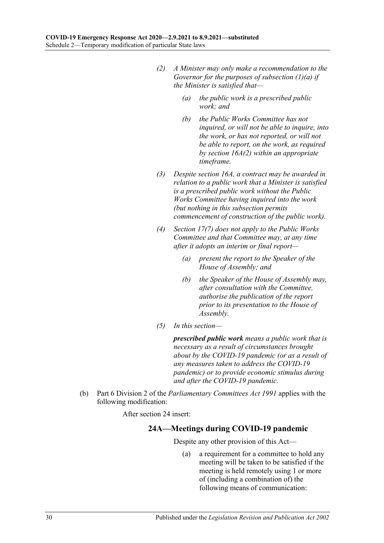- *(2) A Minister may only make a recommendation to the Governor for the purposes of [subsection](#page-28-2) (1)(a) if the Minister is satisfied that—*
	- *(a) the public work is a prescribed public work; and*
	- *(b) the Public Works Committee has not inquired, or will not be able to inquire, into the work, or has not reported, or will not be able to report, on the work, as required by section 16A(2) within an appropriate timeframe.*
- *(3) Despite section 16A, a contract may be awarded in relation to a public work that a Minister is satisfied is a prescribed public work without the Public Works Committee having inquired into the work (but nothing in this subsection permits commencement of construction of the public work).*
- <span id="page-29-0"></span>*(4) Section 17(7) does not apply to the Public Works Committee and that Committee may, at any time after it adopts an interim or final report—*
	- *(a) present the report to the Speaker of the House of Assembly; and*
	- *(b) the Speaker of the House of Assembly may, after consultation with the Committee, authorise the publication of the report prior to its presentation to the House of Assembly.*
- *(5) In this section—*

*prescribed public work means a public work that is necessary as a result of circumstances brought about by the COVID-19 pandemic (or as a result of any measures taken to address the COVID-19 pandemic) or to provide economic stimulus during and after the COVID-19 pandemic.*

(b) Part 6 Division 2 of the *[Parliamentary Committees Act](http://www.legislation.sa.gov.au/index.aspx?action=legref&type=act&legtitle=Parliamentary%20Committees%20Act%201991) 1991* applies with the following modification:

After section 24 insert:

#### **24A—Meetings during COVID-19 pandemic**

Despite any other provision of this Act—

(a) a requirement for a committee to hold any meeting will be taken to be satisfied if the meeting is held remotely using 1 or more of (including a combination of) the following means of communication: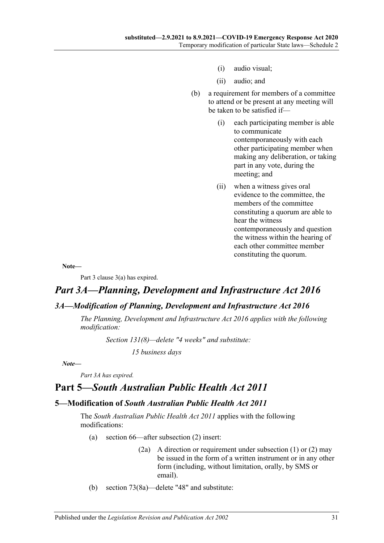- (i) audio visual;
- (ii) audio; and
- (b) a requirement for members of a committee to attend or be present at any meeting will be taken to be satisfied if—
	- (i) each participating member is able to communicate contemporaneously with each other participating member when making any deliberation, or taking part in any vote, during the meeting; and
	- (ii) when a witness gives oral evidence to the committee, the members of the committee constituting a quorum are able to hear the witness contemporaneously and question the witness within the hearing of each other committee member constituting the quorum.

**Note—**

Part 3 clause 3(a) has expired.

## *Part 3A—Planning, Development and Infrastructure Act 2016*

#### <span id="page-30-0"></span>*3A—Modification of Planning, Development and Infrastructure Act 2016*

*The [Planning, Development and Infrastructure Act](http://www.legislation.sa.gov.au/index.aspx?action=legref&type=act&legtitle=Planning%20Development%20and%20Infrastructure%20Act%202016) 2016 applies with the following modification:*

*Section 131(8)—delete "4 weeks" and substitute:*

*15 business days*

*Note—*

*Part 3A has expired.*

## **Part 5—***South Australian Public Health Act 2011*

#### <span id="page-30-1"></span>**5—Modification of** *South Australian Public Health Act 2011*

The *[South Australian Public Health Act](http://www.legislation.sa.gov.au/index.aspx?action=legref&type=act&legtitle=South%20Australian%20Public%20Health%20Act%202011) 2011* applies with the following modifications:

- (a) section 66—after subsection (2) insert:
	- (2a) A direction or requirement under subsection (1) or (2) may be issued in the form of a written instrument or in any other form (including, without limitation, orally, by SMS or email).
- (b) section 73(8a)—delete "48" and substitute: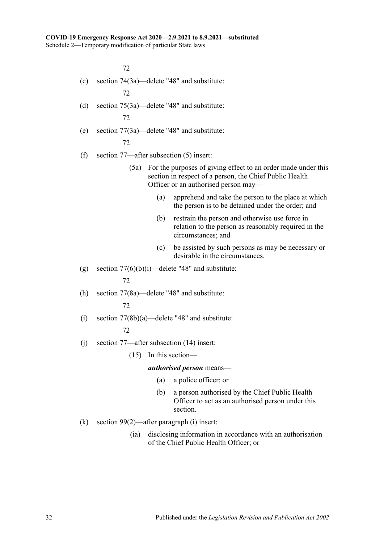72

- (c) section 74(3a)—delete "48" and substitute: 72
- (d) section 75(3a)—delete "48" and substitute: 72
- (e) section 77(3a)—delete "48" and substitute: 72
- (f) section 77—after subsection (5) insert:
	- (5a) For the purposes of giving effect to an order made under this section in respect of a person, the Chief Public Health Officer or an authorised person may—
		- (a) apprehend and take the person to the place at which the person is to be detained under the order; and
		- (b) restrain the person and otherwise use force in relation to the person as reasonably required in the circumstances; and
		- (c) be assisted by such persons as may be necessary or desirable in the circumstances.
- (g) section  $77(6)(b)(i)$ —delete "48" and substitute:

72

(h) section 77(8a)—delete "48" and substitute:

72

- (i) section  $77(8b)(a)$ —delete "48" and substitute: 72
- (j) section 77—after subsection (14) insert:
	- (15) In this section—

*authorised person* means—

- (a) a police officer; or
- (b) a person authorised by the Chief Public Health Officer to act as an authorised person under this section.
- (k) section 99(2)—after paragraph (i) insert:
	- (ia) disclosing information in accordance with an authorisation of the Chief Public Health Officer; or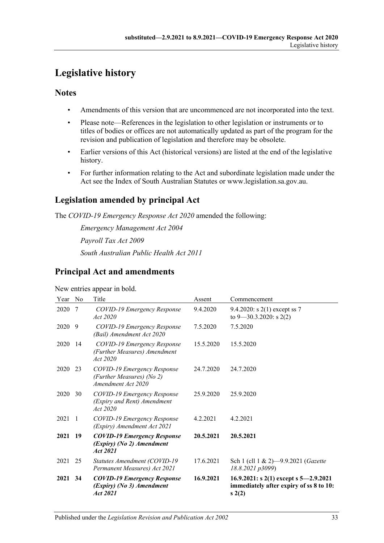## <span id="page-32-0"></span>**Legislative history**

#### **Notes**

- Amendments of this version that are uncommenced are not incorporated into the text.
- Please note—References in the legislation to other legislation or instruments or to titles of bodies or offices are not automatically updated as part of the program for the revision and publication of legislation and therefore may be obsolete.
- Earlier versions of this Act (historical versions) are listed at the end of the legislative history.
- For further information relating to the Act and subordinate legislation made under the Act see the Index of South Australian Statutes or www.legislation.sa.gov.au.

## **Legislation amended by principal Act**

The *COVID-19 Emergency Response Act 2020* amended the following:

*Emergency Management Act 2004 Payroll Tax Act 2009 South Australian Public Health Act 2011*

## **Principal Act and amendments**

New entries appear in bold.

| Year No |      | Title                                                                          | Assent    | Commencement                                                                               |
|---------|------|--------------------------------------------------------------------------------|-----------|--------------------------------------------------------------------------------------------|
| 2020    | -7   | COVID-19 Emergency Response<br>Act 2020                                        | 9.4.2020  | 9.4.2020: s 2(1) except ss 7<br>to $9 - 30.3.2020$ : s 2(2)                                |
| 2020 9  |      | COVID-19 Emergency Response<br>(Bail) Amendment Act 2020                       | 7.5.2020  | 7.5.2020                                                                                   |
| 2020    | 14   | COVID-19 Emergency Response<br>(Further Measures) Amendment<br>Act 2020        | 15.5.2020 | 15.5.2020                                                                                  |
| 2020    | 23   | COVID-19 Emergency Response<br>(Further Measures) (No 2)<br>Amendment Act 2020 | 24.7.2020 | 24.7.2020                                                                                  |
| 2020    | 30   | COVID-19 Emergency Response<br>(Expiry and Rent) Amendment<br>Act 2020         | 25.9.2020 | 25.9.2020                                                                                  |
| 2021    | -1   | COVID-19 Emergency Response<br>(Expiry) Amendment Act 2021                     | 4.2.2021  | 4.2.2021                                                                                   |
| 2021    | - 19 | <b>COVID-19 Emergency Response</b><br>(Expiry) (No 2) Amendment<br>Act 2021    | 20.5.2021 | 20.5.2021                                                                                  |
| 2021    | 25   | Statutes Amendment (COVID-19)<br>Permanent Measures) Act 2021                  | 17.6.2021 | Sch 1 (cll 1 & 2)-9.9.2021 (Gazette<br>18.8.2021 p3099)                                    |
| 2021    | 34   | <b>COVID-19 Emergency Response</b><br>(Expiry) (No 3) Amendment<br>Act 2021    | 16.9.2021 | 16.9.2021: s 2(1) except s $5-2.9.2021$<br>immediately after expiry of ss 8 to 10:<br>s(2) |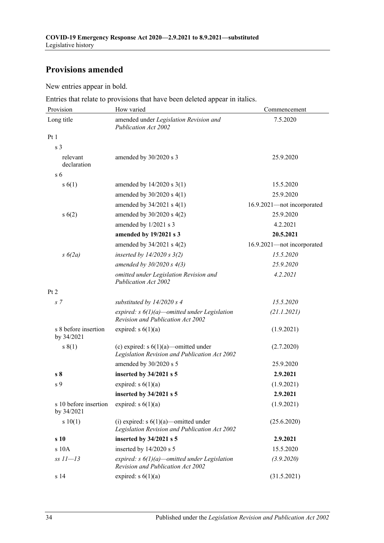## **Provisions amended**

New entries appear in bold.

Entries that relate to provisions that have been deleted appear in italics.

| Provision                           | How varied                                                                                      | Commencement               |
|-------------------------------------|-------------------------------------------------------------------------------------------------|----------------------------|
| Long title                          | amended under Legislation Revision and<br><b>Publication Act 2002</b>                           | 7.5.2020                   |
| Pt1                                 |                                                                                                 |                            |
| s <sub>3</sub>                      |                                                                                                 |                            |
| relevant<br>declaration             | amended by 30/2020 s 3                                                                          | 25.9.2020                  |
| s <sub>6</sub>                      |                                                                                                 |                            |
| s(6(1))                             | amended by $14/2020$ s $3(1)$                                                                   | 15.5.2020                  |
|                                     | amended by $30/2020$ s $4(1)$                                                                   | 25.9.2020                  |
|                                     | amended by $34/2021$ s $4(1)$                                                                   | 16.9.2021-not incorporated |
| s(6(2))                             | amended by $30/2020$ s $4(2)$                                                                   | 25.9.2020                  |
|                                     | amended by 1/2021 s 3                                                                           | 4.2.2021                   |
|                                     | amended by 19/2021 s 3                                                                          | 20.5.2021                  |
|                                     | amended by $34/2021$ s $4(2)$                                                                   | 16.9.2021-not incorporated |
| $s\ 6(2a)$                          | inserted by $14/2020$ s $3(2)$                                                                  | 15.5.2020                  |
|                                     | amended by $30/2020 s 4(3)$                                                                     | 25.9.2020                  |
|                                     | omitted under Legislation Revision and<br><b>Publication Act 2002</b>                           | 4.2.2021                   |
| Pt 2                                |                                                                                                 |                            |
| s <sub>7</sub>                      | substituted by $14/2020 s 4$                                                                    | 15.5.2020                  |
|                                     | expired: $s \frac{6}{1}(a)$ -omitted under Legislation<br>Revision and Publication Act 2002     | (21.1.2021)                |
| s 8 before insertion<br>by 34/2021  | expired: $s \ 6(1)(a)$                                                                          | (1.9.2021)                 |
| s(1)                                | (c) expired: $s \ 6(1)(a)$ —omitted under<br>Legislation Revision and Publication Act 2002      | (2.7.2020)                 |
|                                     | amended by 30/2020 s 5                                                                          | 25.9.2020                  |
| s <sub>8</sub>                      | inserted by 34/2021 s 5                                                                         | 2.9.2021                   |
| s <sub>9</sub>                      | expired: $s 6(1)(a)$                                                                            | (1.9.2021)                 |
|                                     | inserted by 34/2021 s 5                                                                         | 2.9.2021                   |
| s 10 before insertion<br>by 34/2021 | expired: $s 6(1)(a)$                                                                            | (1.9.2021)                 |
| s 10(1)                             | (i) expired: $s \frac{6}{1}(a)$ -omitted under<br>Legislation Revision and Publication Act 2002 | (25.6.2020)                |
| s 10                                | inserted by 34/2021 s 5                                                                         | 2.9.2021                   |
| s 10A                               | inserted by 14/2020 s 5                                                                         | 15.5.2020                  |
| $ss$ $11-13$                        | expired: $s \frac{6}{1}(a)$ -omitted under Legislation<br>Revision and Publication Act 2002     | (3.9.2020)                 |
| s 14                                | expired: $s \ 6(1)(a)$                                                                          | (31.5.2021)                |